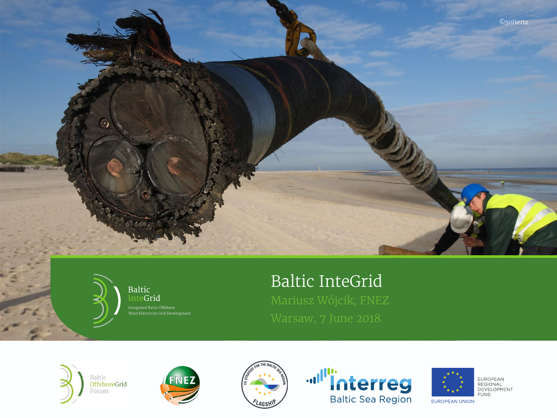



Baltic InteGrid

# Baltic InteGrid











EUROPEAN<br>REGIONAL<br>DEVELOPMENT **FUND** 

EUROPEAN UNION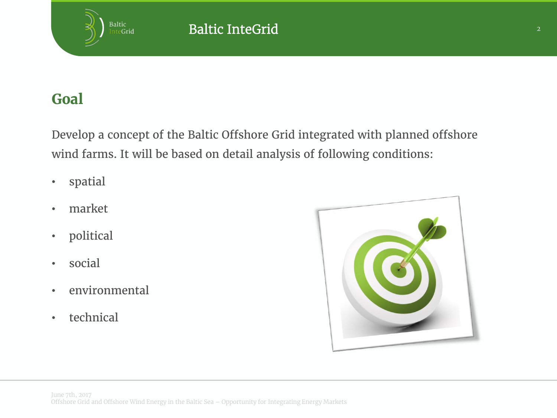## **Goal**

Baltic<br>Inte**Grid** 

Develop a concept of the Baltic Offshore Grid integrated with planned offshore wind farms. It will be based on detail analysis of following conditions:

- spatial
- market
- political
- social
- environmental
- technical

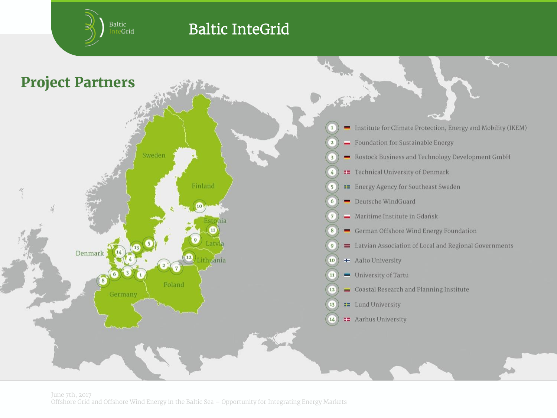Baltic<br>Inte**Grid** 

## Baltic InteGrid

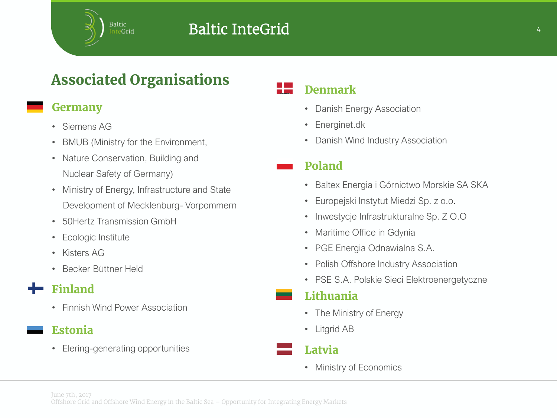## Associated Organisations

#### Germany

- Siemens AG
- BMUB (Ministry for the Environment,
- Nature Conservation, Building and Nuclear Safety of Germany)
- Ministry of Energy, Infrastructure and State Development of Mecklenburg- Vorpommern
- 50Hertz Transmission GmbH
- Ecologic Institute
- Kisters AG
- Becker Büttner Held

## Finland

• Finnish Wind Power Association

#### Estonia

• Elering-generating opportunities

#### Denmark

- Danish Energy Association
- Energinet.dk
- Danish Wind Industry Association

#### Poland

- Baltex Energia i Górnictwo Morskie SA SKA
- Europejski Instytut Miedzi Sp. z o.o.
- Inwestycje Infrastrukturalne Sp. Z O.O
- Maritime Office in Gdynia
- PGE Energia Odnawialna S.A.
- Polish Offshore Industry Association
- PSE S.A. Polskie Sieci Elektroenergetyczne

#### Lithuania

- The Ministry of Energy
- Litgrid AB



• Ministry of Economics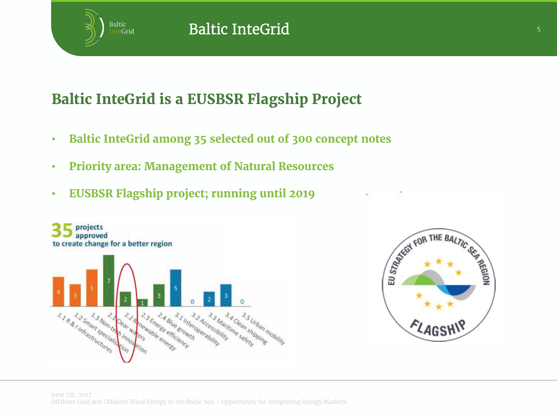

## Baltic InteGrid is a EUSBSR Flagship Project

- Baltic InteGrid among 35 selected out of 300 concept notes
- Priority area: Management of Natural Resources
- EUSBSR Flagship project; running until 2019

**Baltic InteGrid** 



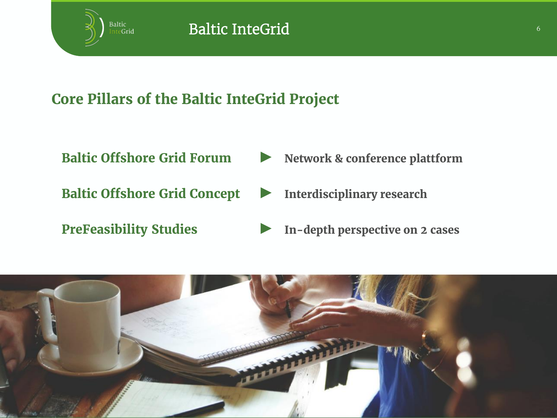

- 
- Baltic Offshore Grid Concept > Interdisciplinary research
- 
- Baltic Offshore Grid Forum  $\blacktriangleright$  Network & conference plattform
	-
- PreFeasibility Studies **Exercise 12 Cases** In-depth perspective on 2 cases

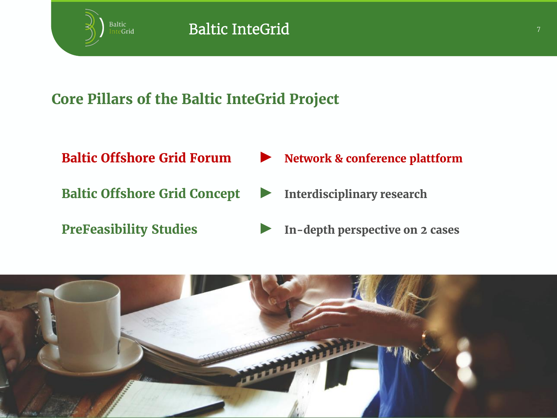

- 
- Baltic Offshore Grid Concept > Interdisciplinary research
- 
- Baltic Offshore Grid Forum ► Network & conference plattform
	-
- PreFeasibility Studies **Exercise 12 Cases** In-depth perspective on 2 cases

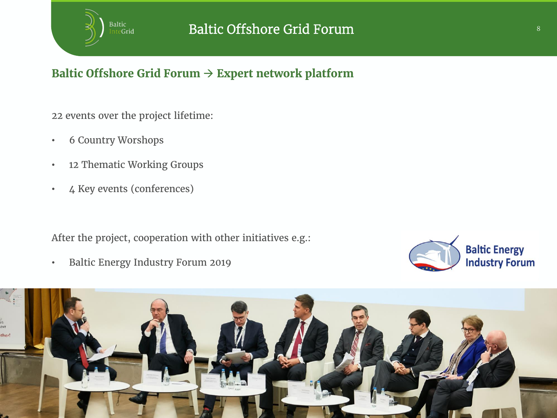

### Baltic Offshore Grid Forum  $\rightarrow$  Expert network platform

22 events over the project lifetime:

- 6 Country Worshops
- 12 Thematic Working Groups
- 4 Key events (conferences)

After the project, cooperation with other initiatives e.g.:

• Baltic Energy Industry Forum 2019



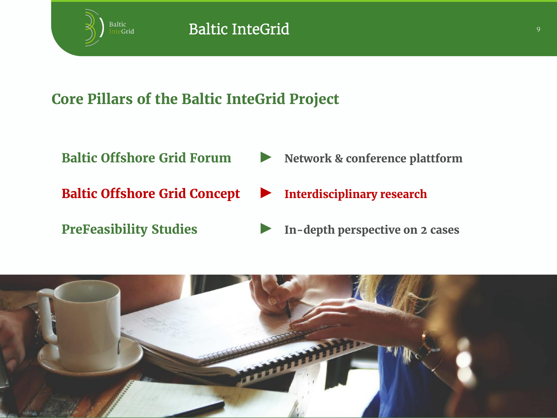

- 
- Baltic Offshore Grid Concept ► Interdisciplinary research
- 
- Baltic Offshore Grid Forum  $\blacktriangleright$  Network & conference plattform
	-
- PreFeasibility Studies **Exercise 12 Cases** In-depth perspective on 2 cases

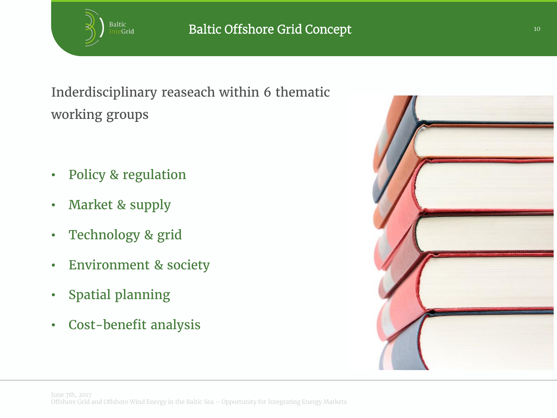

Inderdisciplinary reaseach within 6 thematic working groups

- Policy & regulation
- Market & supply
- Technology & grid
- Environment & society
- Spatial planning
- Cost-benefit analysis

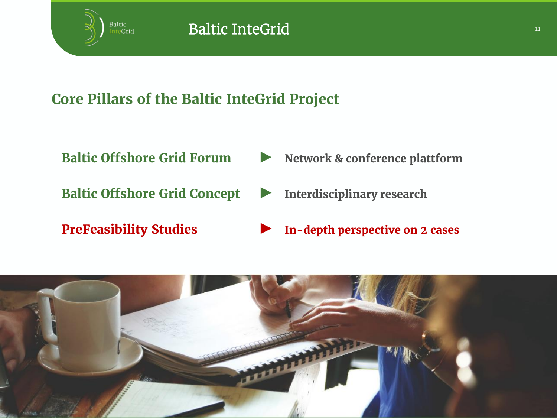

- 
- Baltic Offshore Grid Concept > Interdisciplinary research
- 
- Baltic Offshore Grid Forum  $\blacktriangleright$  Network & conference plattform
	-
- PreFeasibility Studies → In-depth perspective on 2 cases

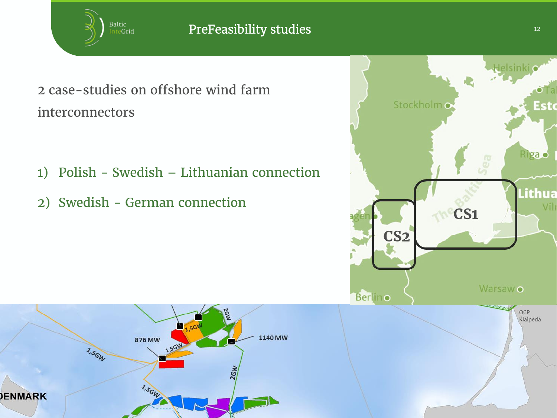

## 2 case-studies on offshore wind farm interconnectors

- 1) Polish Swedish Lithuanian connection
- 2) Swedish German connection